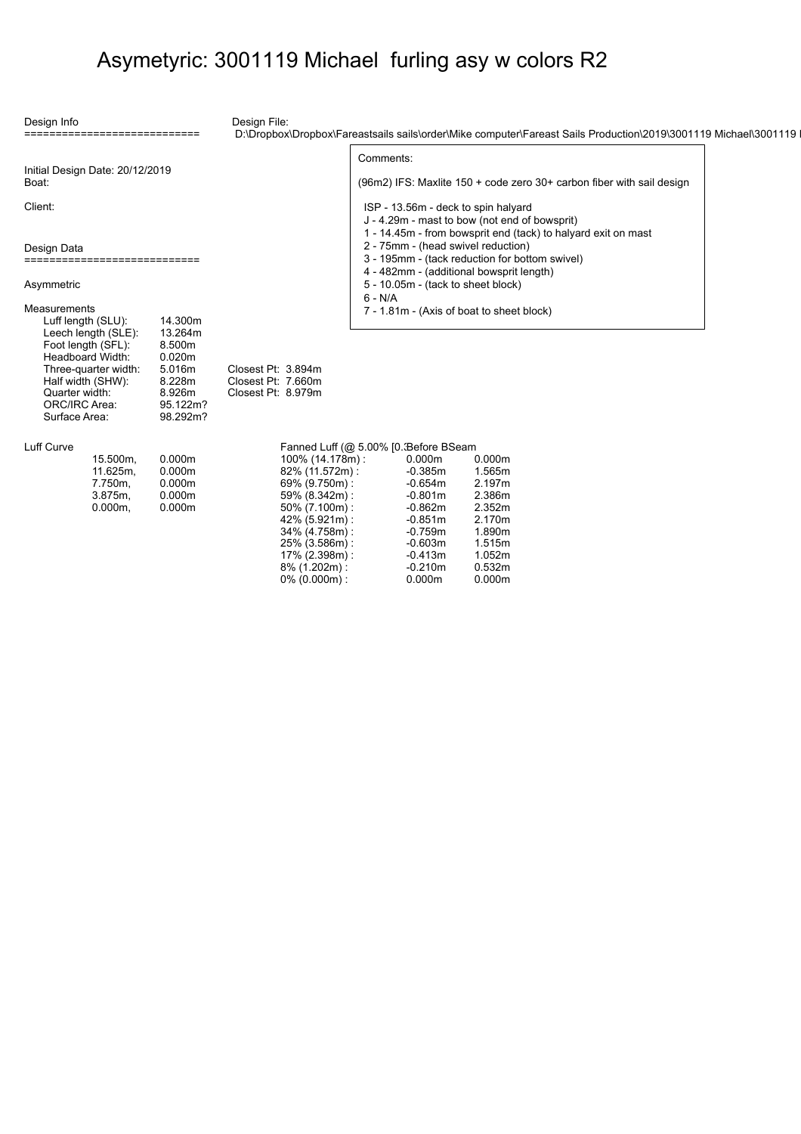### Asymetyric: 3001119 Michael furling asy w colors R2

Comments:

ISP - 13.56m - deck to spin halyard J - 4.29m - mast to bow (not end of bowsprit)

2 - 75mm - (head swivel reduction)

7 - 1.81m - (Axis of boat to sheet block)

3 - 195mm - (tack reduction for bottom swivel) 4 - 482mm - (additional bowsprit length) 5 - 10.05m - (tack to sheet block)

Design Info

Design File:

Pt: 3.894m Pt: 7.660m Pt: 8.979m

D:\Dropbox\Dropbox\Fareastsails sails\order\Mike computer\Fareast Sails Production\2019\3001119 Michael\3001119 M

1 - 14.45m - from bowsprit end (tack) to halyard exit on mast

(96m2) IFS: Maxlite 150 + code zero 30+ carbon fiber with sail design

|       |  | Initial Design Date: 20/12/2019 |
|-------|--|---------------------------------|
| Boat: |  |                                 |

============================

Client:

| Design Data                   |  |  |          |  |  |  |  |  |  |  |  |  |
|-------------------------------|--|--|----------|--|--|--|--|--|--|--|--|--|
|                               |  |  |          |  |  |  |  |  |  |  |  |  |
| ----------------------------- |  |  |          |  |  |  |  |  |  |  |  |  |
|                               |  |  | ________ |  |  |  |  |  |  |  |  |  |

Asymmetric

| Measurements         |          |         |
|----------------------|----------|---------|
| Luff length (SLU):   | 14.300m  |         |
| Leech length (SLE):  | 13.264m  |         |
| Foot length (SFL):   | 8.500m   |         |
| Headboard Width:     | 0.020m   |         |
| Three-quarter width: | 5.016m   | Closest |
| Half width (SHW):    | 8.228m   | Closest |
| Quarter width:       | 8.926m   | Closest |
| ORC/IRC Area:        | 95.122m? |         |
| Surface Area:        | 98.292m? |         |
|                      |          |         |

#### Luff Curve

| 15.500m,   | 0.000m |
|------------|--------|
| 11.625m,   | 0.000m |
| 7.750m.    | 0.000m |
| $3.875m$ , | 0.000m |
| $0.000m$ , | 0.000m |

# $\frac{1}{2}$  and Luff ( $\otimes$  5.00% [0.3 Before BS

6 - N/A

| Fanned Luff (@ 5.00%   0. Before BSeam |           |        |
|----------------------------------------|-----------|--------|
| 100% (14.178m):                        | 0.000m    | 0.000m |
| 82% (11.572m):                         | $-0.385m$ | 1.565m |
| 69% (9.750m):                          | $-0.654m$ | 2.197m |
| 59% (8.342m):                          | $-0.801m$ | 2.386m |
| 50% (7.100m):                          | $-0.862m$ | 2.352m |
| 42% (5.921m):                          | $-0.851m$ | 2.170m |
| 34% (4.758m):                          | $-0.759m$ | 1.890m |
| 25% (3.586m):                          | $-0.603m$ | 1.515m |
| 17% (2.398m):                          | $-0.413m$ | 1.052m |
| 8% (1.202m):                           | $-0.210m$ | 0.532m |
| $0\%$ (0.000m):                        | 0.000m    | 0.000m |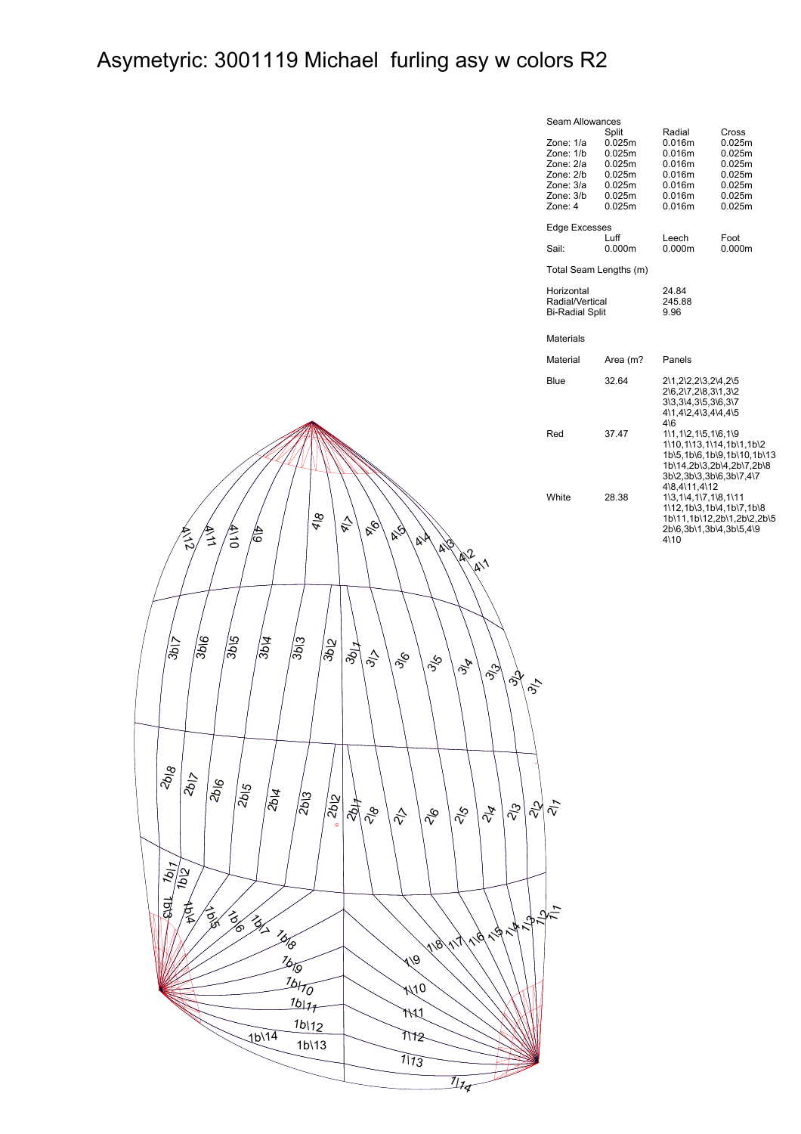## Asymetyric: 3001119 Michael furling asy w colors R2

| Seam Allowances                                                                       |                                                                             |                                                                                                                                       |                                                                             |  |  |  |  |  |  |
|---------------------------------------------------------------------------------------|-----------------------------------------------------------------------------|---------------------------------------------------------------------------------------------------------------------------------------|-----------------------------------------------------------------------------|--|--|--|--|--|--|
| Zone: 1/a<br>Zone: 1/b<br>Zone: 2/a<br>Zone: 2/b<br>Zone: 3/a<br>Zone: 3/b<br>Zone: 4 | Split<br>0.025m<br>0.025m<br>0.025m<br>0.025m<br>0.025m<br>0.025m<br>0.025m | Radial<br>0.016m<br>0.016m<br>0.016m<br>0.016m<br>0.016m<br>0.016m<br>0.016m                                                          | Cross<br>0.025m<br>0.025m<br>0.025m<br>0.025m<br>0.025m<br>0.025m<br>0.025m |  |  |  |  |  |  |
| <b>Edge Excesses</b>                                                                  |                                                                             |                                                                                                                                       |                                                                             |  |  |  |  |  |  |
| Sail:                                                                                 | Luff<br>0.000m                                                              | Leech<br>0.000m                                                                                                                       | Foot<br>0.000m                                                              |  |  |  |  |  |  |
| Total Seam Lengths (m)                                                                |                                                                             |                                                                                                                                       |                                                                             |  |  |  |  |  |  |
| Horizontal<br>Radial/Vertical<br><b>Bi-Radial Split</b>                               |                                                                             | 24.84<br>245.88<br>9.96                                                                                                               |                                                                             |  |  |  |  |  |  |
| Materials                                                                             |                                                                             |                                                                                                                                       |                                                                             |  |  |  |  |  |  |
| Material                                                                              | Area (m?                                                                    | Panels                                                                                                                                |                                                                             |  |  |  |  |  |  |
| Blue                                                                                  | 32.64                                                                       | 2\1,2\2,2\3,2\4,2\5<br>2\6,2\7,2\8,3\1,3\2<br>3\3.3\4.3\5.3\6.3\7<br>4\1,4\2,4\3,4\4,4\5<br>$4\sqrt{6}$                               |                                                                             |  |  |  |  |  |  |
| Red                                                                                   | 37.47                                                                       | 1\1,1\2,1\5,1\6,1\9<br>1\10,1\13,1\14,1b\1,1b\2<br>1b\5.1b\6.1b\9.1b\10.1b\13<br>1b\14,2b\3,2b\4,2b\7,2b\8<br>3b\2,3b\3,3b\6,3b\7,4\7 |                                                                             |  |  |  |  |  |  |
| <b>White</b>                                                                          | 28.38                                                                       | 4\8,4\11,4\12<br>1\3,1\4,1\7,1\8,1\11<br>1\12,1b\3,1b\4,1b\7,1b\8<br>2b\6,3b\1,3b\4,3b\5,4\9<br>$4\backslash 10$                      | 1b\11,1b\12,2b\1,2b\2,2b\5                                                  |  |  |  |  |  |  |